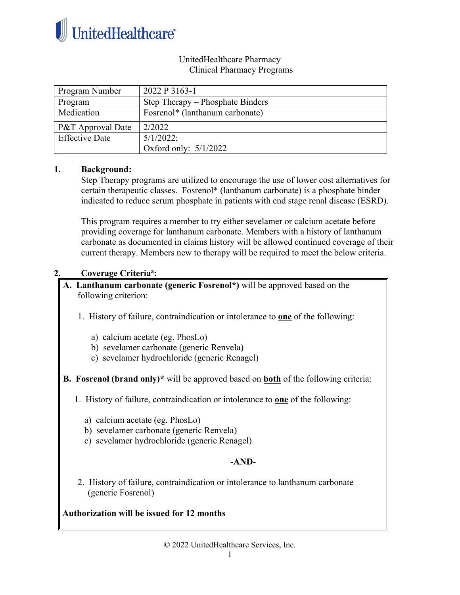

## UnitedHealthcare Pharmacy Clinical Pharmacy Programs

| Program Number        | 2022 P 3163-1                               |
|-----------------------|---------------------------------------------|
| Program               | Step Therapy – Phosphate Binders            |
| Medication            | Fosrenol <sup>*</sup> (lanthanum carbonate) |
| P&T Approval Date     | 2/2022                                      |
| <b>Effective Date</b> | $5/1/2022$ ;                                |
|                       | Oxford only: $5/1/2022$                     |

## **1. Background:**

Step Therapy programs are utilized to encourage the use of lower cost alternatives for certain therapeutic classes. Fosrenol\* (lanthanum carbonate) is a phosphate binder indicated to reduce serum phosphate in patients with end stage renal disease (ESRD).

This program requires a member to try either sevelamer or calcium acetate before providing coverage for lanthanum carbonate. Members with a history of lanthanum carbonate as documented in claims history will be allowed continued coverage of their current therapy. Members new to therapy will be required to meet the below criteria.

## **2. Coverage Criteriaa :**

### **A. Lanthanum carbonate (generic Fosrenol\*)** will be approved based on the following criterion:

- 1. History of failure, contraindication or intolerance to **one** of the following:
	- a) calcium acetate (eg. PhosLo)
	- b) sevelamer carbonate (generic Renvela)
	- c) sevelamer hydrochloride (generic Renagel)
- **B. Fosrenol (brand only)\*** will be approved based on **both** of the following criteria:
	- 1. History of failure, contraindication or intolerance to **one** of the following:
		- a) calcium acetate (eg. PhosLo)
		- b) sevelamer carbonate (generic Renvela)
		- c) sevelamer hydrochloride (generic Renagel)

# **-AND-**

2. History of failure, contraindication or intolerance to lanthanum carbonate (generic Fosrenol)

**Authorization will be issued for 12 months**